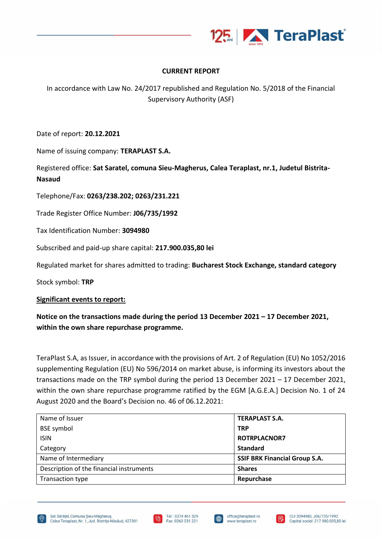

## **CURRENT REPORT**

In accordance with Law No. 24/2017 republished and Regulation No. 5/2018 of the Financial Supervisory Authority (ASF)

Date of report: **20.12.2021**

Name of issuing company: **TERAPLAST S.A.**

Registered office: **Sat Saratel, comuna Sieu-Magherus, Calea Teraplast, nr.1, Judetul Bistrita-Nasaud**

Telephone/Fax: **0263/238.202; 0263/231.221**

Trade Register Office Number: **J06/735/1992**

Tax Identification Number: **3094980**

Subscribed and paid-up share capital: **217.900.035,80 lei**

Regulated market for shares admitted to trading: **Bucharest Stock Exchange, standard category**

Stock symbol: **TRP**

## **Significant events to report:**

## **Notice on the transactions made during the period 13 December 2021 – 17 December 2021, within the own share repurchase programme.**

TeraPlast S.A, as Issuer, in accordance with the provisions of Art. 2 of Regulation (EU) No 1052/2016 supplementing Regulation (EU) No 596/2014 on market abuse, is informing its investors about the transactions made on the TRP symbol during the period 13 December 2021 – 17 December 2021, within the own share repurchase programme ratified by the EGM [A.G.E.A.] Decision No. 1 of 24 August 2020 and the Board's Decision no. 46 of 06.12.2021:

| Name of Issuer                           | <b>TERAPLAST S.A.</b>                |
|------------------------------------------|--------------------------------------|
| <b>BSE</b> symbol                        | <b>TRP</b>                           |
| <b>ISIN</b>                              | <b>ROTRPLACNOR7</b>                  |
| Category                                 | <b>Standard</b>                      |
| Name of Intermediary                     | <b>SSIF BRK Financial Group S.A.</b> |
| Description of the financial instruments | <b>Shares</b>                        |
| Transaction type                         | Repurchase                           |







I⊕

F.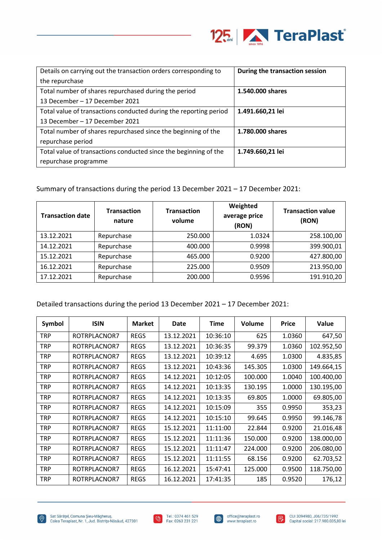

| Details on carrying out the transaction orders corresponding to   | During the transaction session |
|-------------------------------------------------------------------|--------------------------------|
| the repurchase                                                    |                                |
| Total number of shares repurchased during the period              | 1.540.000 shares               |
| 13 December – 17 December 2021                                    |                                |
| Total value of transactions conducted during the reporting period | 1.491.660,21 lei               |
| 13 December – 17 December 2021                                    |                                |
| Total number of shares repurchased since the beginning of the     | 1.780.000 shares               |
| repurchase period                                                 |                                |
| Total value of transactions conducted since the beginning of the  | 1.749.660,21 lei               |
| repurchase programme                                              |                                |

Summary of transactions during the period 13 December 2021 – 17 December 2021:

| <b>Transaction date</b> | <b>Transaction</b><br>nature | <b>Transaction</b><br>volume | Weighted<br>average price<br>(RON) | <b>Transaction value</b><br>(RON) |
|-------------------------|------------------------------|------------------------------|------------------------------------|-----------------------------------|
| 13.12.2021              | Repurchase                   | 250,000                      | 1.0324                             | 258.100,00                        |
| 14.12.2021              | Repurchase                   | 400.000                      | 0.9998                             | 399.900,01                        |
| 15.12.2021              | Repurchase                   | 465.000                      | 0.9200                             | 427.800,00                        |
| 16.12.2021              | Repurchase                   | 225.000                      | 0.9509                             | 213.950,00                        |
| 17.12.2021              | Repurchase                   | 200.000                      | 0.9596                             | 191.910,20                        |

Detailed transactions during the period 13 December 2021 – 17 December 2021:

| Symbol     | <b>ISIN</b>  | <b>Market</b> | Date       | Time     | Volume  | <b>Price</b> | Value      |
|------------|--------------|---------------|------------|----------|---------|--------------|------------|
| <b>TRP</b> | ROTRPLACNOR7 | <b>REGS</b>   | 13.12.2021 | 10:36:10 | 625     | 1.0360       | 647,50     |
| TRP        | ROTRPLACNOR7 | <b>REGS</b>   | 13.12.2021 | 10:36:35 | 99.379  | 1.0360       | 102.952,50 |
| <b>TRP</b> | ROTRPLACNOR7 | <b>REGS</b>   | 13.12.2021 | 10:39:12 | 4.695   | 1.0300       | 4.835,85   |
| <b>TRP</b> | ROTRPLACNOR7 | <b>REGS</b>   | 13.12.2021 | 10:43:36 | 145.305 | 1.0300       | 149.664,15 |
| <b>TRP</b> | ROTRPLACNOR7 | <b>REGS</b>   | 14.12.2021 | 10:12:05 | 100.000 | 1.0040       | 100.400,00 |
| <b>TRP</b> | ROTRPLACNOR7 | <b>REGS</b>   | 14.12.2021 | 10:13:35 | 130.195 | 1.0000       | 130.195,00 |
| <b>TRP</b> | ROTRPLACNOR7 | <b>REGS</b>   | 14.12.2021 | 10:13:35 | 69.805  | 1.0000       | 69.805,00  |
| <b>TRP</b> | ROTRPLACNOR7 | <b>REGS</b>   | 14.12.2021 | 10:15:09 | 355     | 0.9950       | 353,23     |
| <b>TRP</b> | ROTRPLACNOR7 | <b>REGS</b>   | 14.12.2021 | 10:15:10 | 99.645  | 0.9950       | 99.146,78  |
| <b>TRP</b> | ROTRPLACNOR7 | <b>REGS</b>   | 15.12.2021 | 11:11:00 | 22.844  | 0.9200       | 21.016,48  |
| <b>TRP</b> | ROTRPLACNOR7 | <b>REGS</b>   | 15.12.2021 | 11:11:36 | 150.000 | 0.9200       | 138.000,00 |
| <b>TRP</b> | ROTRPLACNOR7 | <b>REGS</b>   | 15.12.2021 | 11:11:47 | 224.000 | 0.9200       | 206.080,00 |
| <b>TRP</b> | ROTRPLACNOR7 | <b>REGS</b>   | 15.12.2021 | 11:11:55 | 68.156  | 0.9200       | 62.703,52  |
| <b>TRP</b> | ROTRPLACNOR7 | <b>REGS</b>   | 16.12.2021 | 15:47:41 | 125.000 | 0.9500       | 118.750,00 |
| TRP        | ROTRPLACNOR7 | <b>REGS</b>   | 16.12.2021 | 17:41:35 | 185     | 0.9520       | 176,12     |